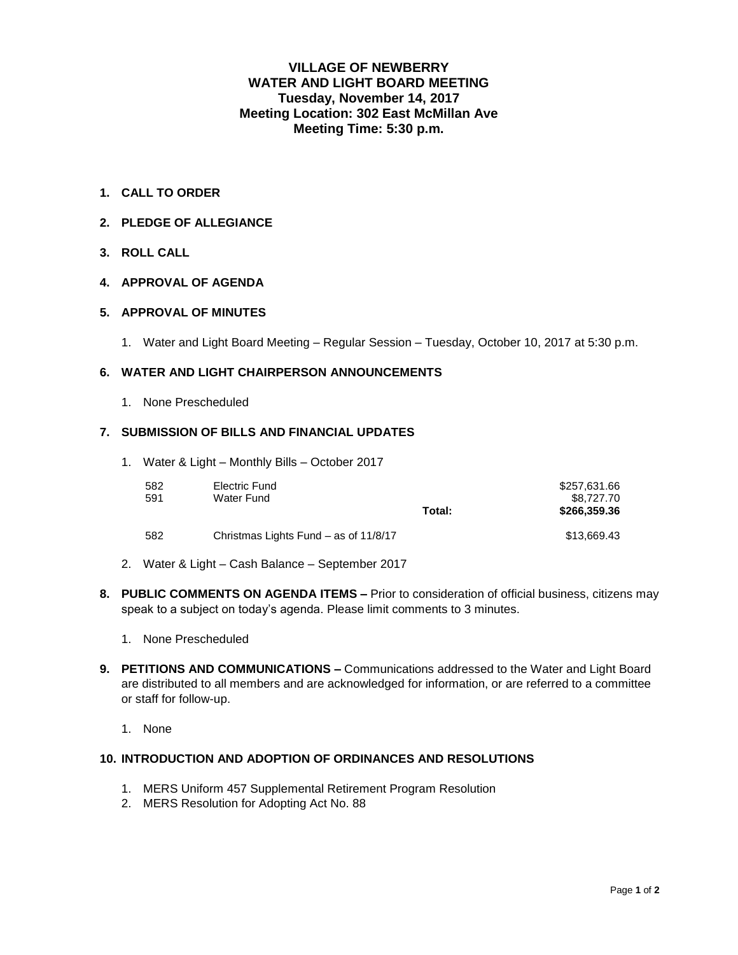# **VILLAGE OF NEWBERRY WATER AND LIGHT BOARD MEETING Tuesday, November 14, 2017 Meeting Location: 302 East McMillan Ave Meeting Time: 5:30 p.m.**

- **1. CALL TO ORDER**
- **2. PLEDGE OF ALLEGIANCE**
- **3. ROLL CALL**

## **4. APPROVAL OF AGENDA**

### **5. APPROVAL OF MINUTES**

1. Water and Light Board Meeting – Regular Session – Tuesday, October 10, 2017 at 5:30 p.m.

### **6. WATER AND LIGHT CHAIRPERSON ANNOUNCEMENTS**

1. None Prescheduled

### **7. SUBMISSION OF BILLS AND FINANCIAL UPDATES**

1. Water & Light – Monthly Bills – October 2017

| 582<br>591 | Electric Fund<br>Water Fund           | Total: | \$257,631.66<br>\$8,727,70<br>\$266,359,36 |
|------------|---------------------------------------|--------|--------------------------------------------|
| 582        | Christmas Lights Fund – as of 11/8/17 |        | \$13.669.43                                |

- 2. Water & Light Cash Balance September 2017
- **8. PUBLIC COMMENTS ON AGENDA ITEMS –** Prior to consideration of official business, citizens may speak to a subject on today's agenda. Please limit comments to 3 minutes.
	- 1. None Prescheduled
- **9. PETITIONS AND COMMUNICATIONS –** Communications addressed to the Water and Light Board are distributed to all members and are acknowledged for information, or are referred to a committee or staff for follow-up.
	- 1. None

## **10. INTRODUCTION AND ADOPTION OF ORDINANCES AND RESOLUTIONS**

- 1. MERS Uniform 457 Supplemental Retirement Program Resolution
- 2. MERS Resolution for Adopting Act No. 88